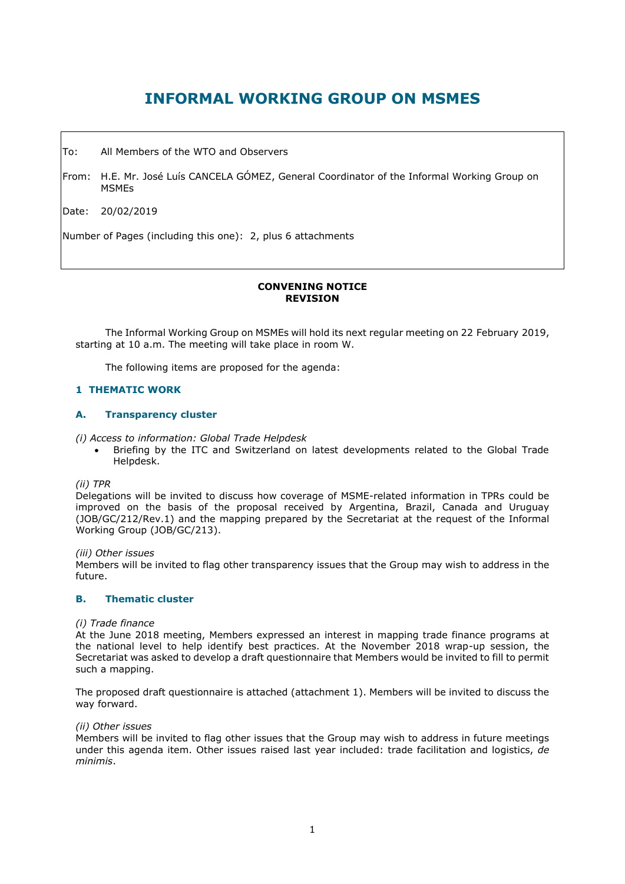# **INFORMAL WORKING GROUP ON MSMES**

To: All Members of the WTO and Observers

From: H.E. Mr. José Luís CANCELA GÓMEZ, General Coordinator of the Informal Working Group on MSMEs

Date: 20/02/2019

Number of Pages (including this one): 2, plus 6 attachments

# **CONVENING NOTICE REVISION**

The Informal Working Group on MSMEs will hold its next regular meeting on 22 February 2019, starting at 10 a.m. The meeting will take place in room W.

The following items are proposed for the agenda:

# **1 THEMATIC WORK**

## **A. Transparency cluster**

*(i) Access to information: Global Trade Helpdesk*

• Briefing by the ITC and Switzerland on latest developments related to the Global Trade Helpdesk.

#### *(ii) TPR*

Delegations will be invited to discuss how coverage of MSME-related information in TPRs could be improved on the basis of the proposal received by Argentina, Brazil, Canada and Uruguay (JOB/GC/212/Rev.1) and the mapping prepared by the Secretariat at the request of the Informal Working Group (JOB/GC/213).

*(iii) Other issues*

Members will be invited to flag other transparency issues that the Group may wish to address in the future.

## **B. Thematic cluster**

## *(i) Trade finance*

At the June 2018 meeting, Members expressed an interest in mapping trade finance programs at the national level to help identify best practices. At the November 2018 wrap-up session, the Secretariat was asked to develop a draft questionnaire that Members would be invited to fill to permit such a mapping.

The proposed draft questionnaire is attached (attachment 1). Members will be invited to discuss the way forward.

#### *(ii) Other issues*

Members will be invited to flag other issues that the Group may wish to address in future meetings under this agenda item. Other issues raised last year included: trade facilitation and logistics, *de minimis*.